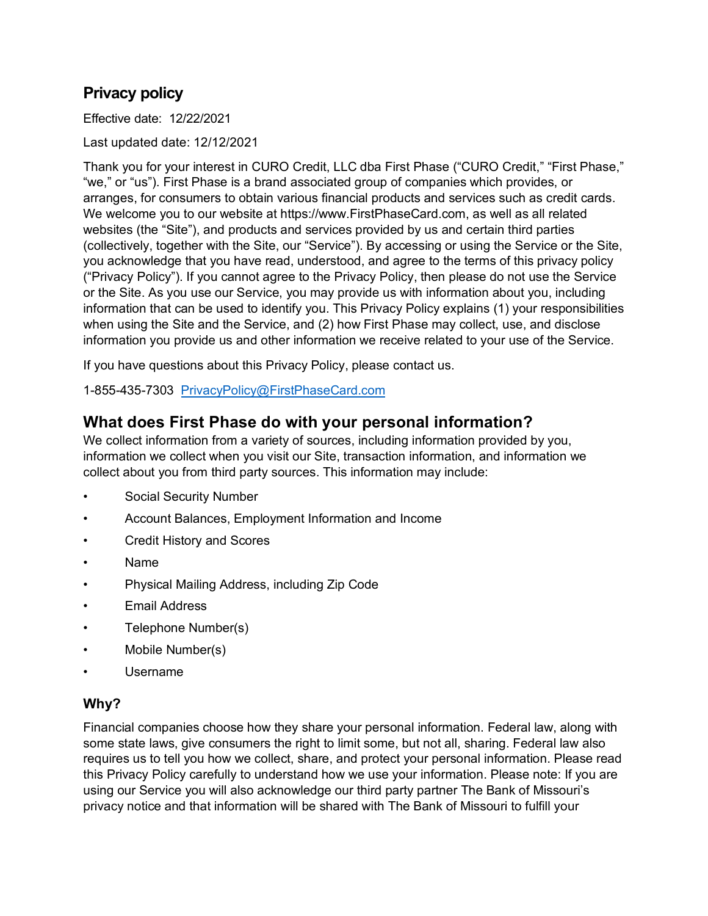# **Privacy policy**

Effective date: 12/22/2021

Last updated date: 12/12/2021

Thank you for your interest in CURO Credit, LLC dba First Phase ("CURO Credit," "First Phase," "we," or "us"). First Phase is a brand associated group of companies which provides, or arranges, for consumers to obtain various financial products and services such as credit cards. We welcome you to our website at https://www.FirstPhaseCard.com, as well as all related websites (the "Site"), and products and services provided by us and certain third parties (collectively, together with the Site, our "Service"). By accessing or using the Service or the Site, you acknowledge that you have read, understood, and agree to the terms of this privacy policy ("Privacy Policy"). If you cannot agree to the Privacy Policy, then please do not use the Service or the Site. As you use our Service, you may provide us with information about you, including information that can be used to identify you. This Privacy Policy explains (1) your responsibilities when using the Site and the Service, and (2) how First Phase may collect, use, and disclose information you provide us and other information we receive related to your use of the Service.

If you have questions about this Privacy Policy, please contact us.

1-855-435-7303 [PrivacyPolicy@FirstPhaseCard.com](mailto:PrivacyPolicy@FirstPhaseCard.com)

### **What does First Phase do with your personal information?**

We collect information from a variety of sources, including information provided by you, information we collect when you visit our Site, transaction information, and information we collect about you from third party sources. This information may include:

- Social Security Number
- Account Balances, Employment Information and Income
- Credit History and Scores
- Name
- Physical Mailing Address, including Zip Code
- **Email Address**
- Telephone Number(s)
- Mobile Number(s)
- Username

#### **Why?**

Financial companies choose how they share your personal information. Federal law, along with some state laws, give consumers the right to limit some, but not all, sharing. Federal law also requires us to tell you how we collect, share, and protect your personal information. Please read this Privacy Policy carefully to understand how we use your information. Please note: If you are using our Service you will also acknowledge our third party partner The Bank of Missouri's privacy notice and that information will be shared with The Bank of Missouri to fulfill your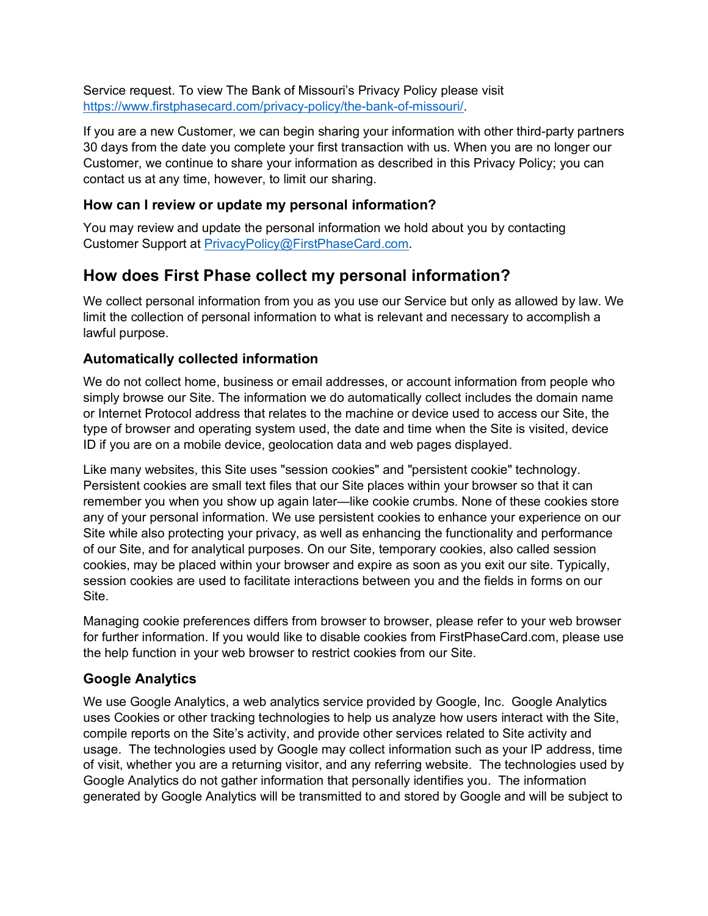Service request. To view The Bank of Missouri's Privacy Policy please visit [https://www.firstphasecard.com/privacy-policy/the-bank-of-missouri/.](https://www.firstphasecard.com/privacy-policy/the-bank-of-missouri/)

If you are a new Customer, we can begin sharing your information with other third-party partners 30 days from the date you complete your first transaction with us. When you are no longer our Customer, we continue to share your information as described in this Privacy Policy; you can contact us at any time, however, to limit our sharing.

#### **How can I review or update my personal information?**

You may review and update the personal information we hold about you by contacting Customer Support at [PrivacyPolicy@FirstPhaseCard.com.](mailto:PrivacyPolicy@FirstPhaseCard.com)

### **How does First Phase collect my personal information?**

We collect personal information from you as you use our Service but only as allowed by law. We limit the collection of personal information to what is relevant and necessary to accomplish a lawful purpose.

### **Automatically collected information**

We do not collect home, business or email addresses, or account information from people who simply browse our Site. The information we do automatically collect includes the domain name or Internet Protocol address that relates to the machine or device used to access our Site, the type of browser and operating system used, the date and time when the Site is visited, device ID if you are on a mobile device, geolocation data and web pages displayed.

Like many websites, this Site uses "session cookies" and "persistent cookie" technology. Persistent cookies are small text files that our Site places within your browser so that it can remember you when you show up again later—like cookie crumbs. None of these cookies store any of your personal information. We use persistent cookies to enhance your experience on our Site while also protecting your privacy, as well as enhancing the functionality and performance of our Site, and for analytical purposes. On our Site, temporary cookies, also called session cookies, may be placed within your browser and expire as soon as you exit our site. Typically, session cookies are used to facilitate interactions between you and the fields in forms on our Site.

Managing cookie preferences differs from browser to browser, please refer to your web browser for further information. If you would like to disable cookies from FirstPhaseCard.com, please use the help function in your web browser to restrict cookies from our Site.

### **Google Analytics**

We use Google Analytics, a web analytics service provided by Google, Inc. Google Analytics uses Cookies or other tracking technologies to help us analyze how users interact with the Site, compile reports on the Site's activity, and provide other services related to Site activity and usage. The technologies used by Google may collect information such as your IP address, time of visit, whether you are a returning visitor, and any referring website. The technologies used by Google Analytics do not gather information that personally identifies you. The information generated by Google Analytics will be transmitted to and stored by Google and will be subject to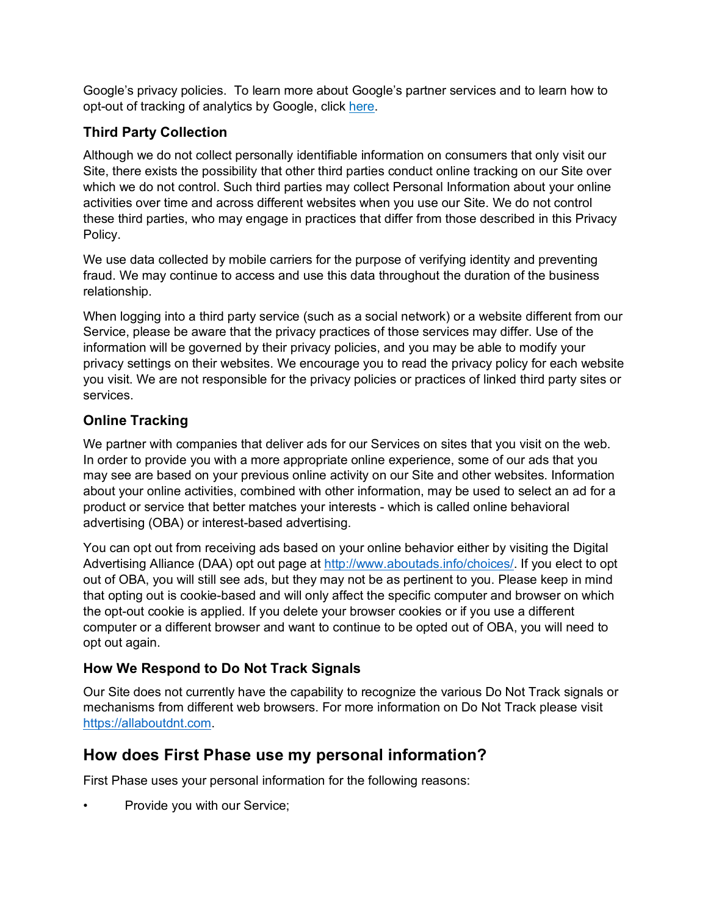Google's privacy policies. To learn more about Google's partner services and to learn how to opt-out of tracking of analytics by Google, click [here.](https://tools.google.com/dlpage/gaoptout)

### **Third Party Collection**

Although we do not collect personally identifiable information on consumers that only visit our Site, there exists the possibility that other third parties conduct online tracking on our Site over which we do not control. Such third parties may collect Personal Information about your online activities over time and across different websites when you use our Site. We do not control these third parties, who may engage in practices that differ from those described in this Privacy Policy.

We use data collected by mobile carriers for the purpose of verifying identity and preventing fraud. We may continue to access and use this data throughout the duration of the business relationship.

When logging into a third party service (such as a social network) or a website different from our Service, please be aware that the privacy practices of those services may differ. Use of the information will be governed by their privacy policies, and you may be able to modify your privacy settings on their websites. We encourage you to read the privacy policy for each website you visit. We are not responsible for the privacy policies or practices of linked third party sites or services.

### **Online Tracking**

We partner with companies that deliver ads for our Services on sites that you visit on the web. In order to provide you with a more appropriate online experience, some of our ads that you may see are based on your previous online activity on our Site and other websites. Information about your online activities, combined with other information, may be used to select an ad for a product or service that better matches your interests - which is called online behavioral advertising (OBA) or interest-based advertising.

You can opt out from receiving ads based on your online behavior either by visiting the Digital Advertising Alliance (DAA) opt out page at [http://www.aboutads.info/choices/.](http://www.aboutads.info/choices/) If you elect to opt out of OBA, you will still see ads, but they may not be as pertinent to you. Please keep in mind that opting out is cookie-based and will only affect the specific computer and browser on which the opt-out cookie is applied. If you delete your browser cookies or if you use a different computer or a different browser and want to continue to be opted out of OBA, you will need to opt out again.

### **How We Respond to Do Not Track Signals**

Our Site does not currently have the capability to recognize the various Do Not Track signals or mechanisms from different web browsers. For more information on Do Not Track please visit [https://allaboutdnt.com.](https://allaboutdnt.com/)

# **How does First Phase use my personal information?**

First Phase uses your personal information for the following reasons:

Provide you with our Service;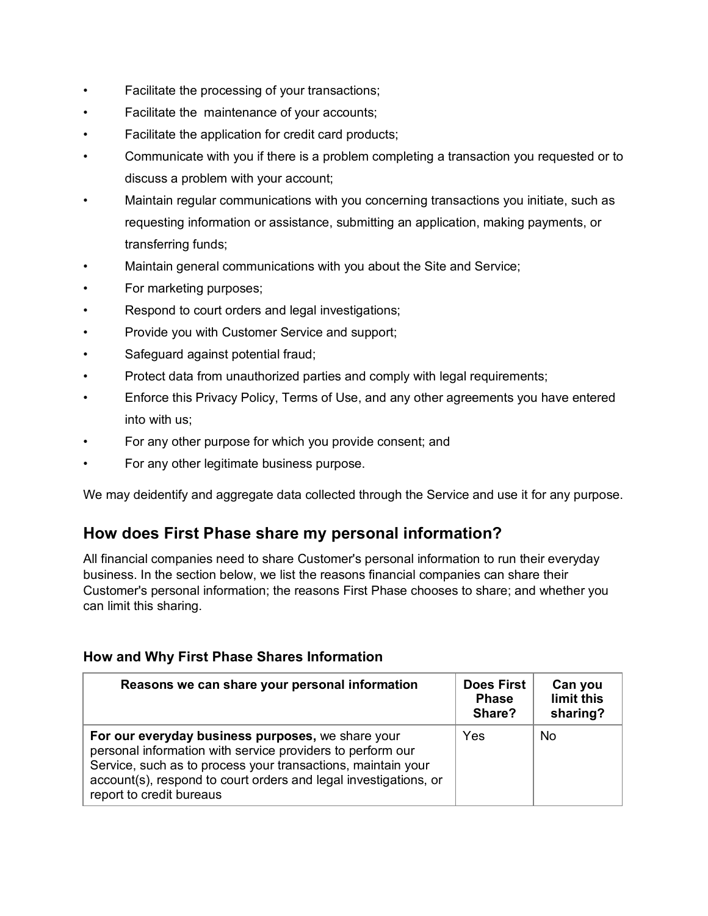- Facilitate the processing of your transactions;
- Facilitate the maintenance of your accounts;
- Facilitate the application for credit card products;
- Communicate with you if there is a problem completing a transaction you requested or to discuss a problem with your account;
- Maintain regular communications with you concerning transactions you initiate, such as requesting information or assistance, submitting an application, making payments, or transferring funds;
- Maintain general communications with you about the Site and Service;
- For marketing purposes;
- Respond to court orders and legal investigations;
- Provide you with Customer Service and support;
- Safeguard against potential fraud;
- Protect data from unauthorized parties and comply with legal requirements;
- Enforce this Privacy Policy, Terms of Use, and any other agreements you have entered into with us;
- For any other purpose for which you provide consent; and
- For any other legitimate business purpose.

We may deidentify and aggregate data collected through the Service and use it for any purpose.

### **How does First Phase share my personal information?**

All financial companies need to share Customer's personal information to run their everyday business. In the section below, we list the reasons financial companies can share their Customer's personal information; the reasons First Phase chooses to share; and whether you can limit this sharing.

| Reasons we can share your personal information                                                                                                                                                                                                                                  | <b>Does First</b><br><b>Phase</b><br>Share? | Can you<br>limit this<br>sharing? |
|---------------------------------------------------------------------------------------------------------------------------------------------------------------------------------------------------------------------------------------------------------------------------------|---------------------------------------------|-----------------------------------|
| For our everyday business purposes, we share your<br>personal information with service providers to perform our<br>Service, such as to process your transactions, maintain your<br>account(s), respond to court orders and legal investigations, or<br>report to credit bureaus | Yes                                         | No                                |

#### **How and Why First Phase Shares Information**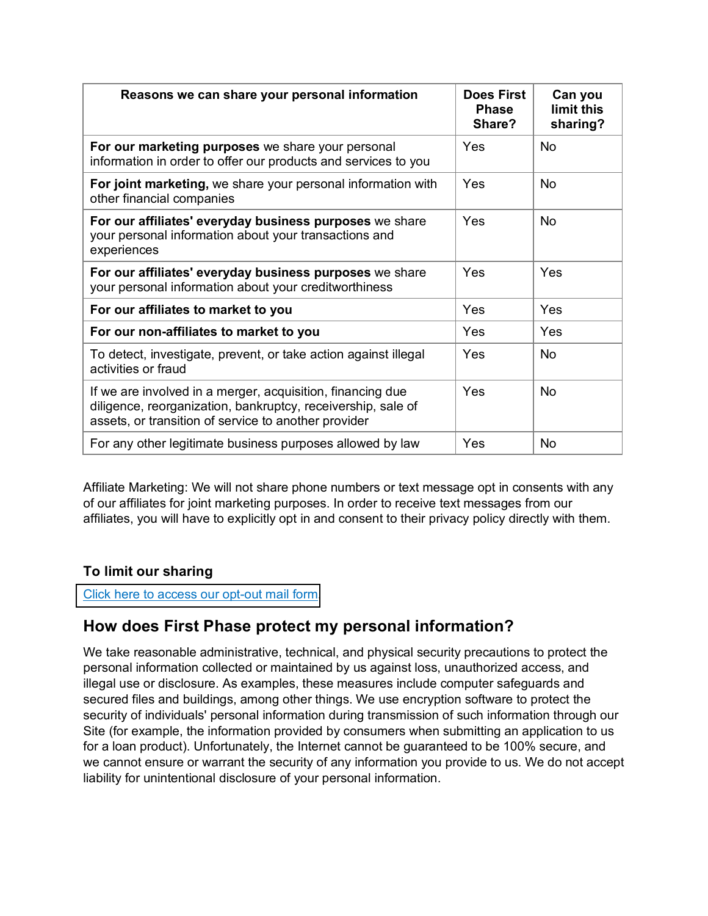| Reasons we can share your personal information                                                                                                                                     | Does First<br><b>Phase</b><br>Share? | Can you<br>limit this<br>sharing? |
|------------------------------------------------------------------------------------------------------------------------------------------------------------------------------------|--------------------------------------|-----------------------------------|
| For our marketing purposes we share your personal<br>information in order to offer our products and services to you                                                                | Yes                                  | <b>No</b>                         |
| For joint marketing, we share your personal information with<br>other financial companies                                                                                          | Yes                                  | <b>No</b>                         |
| For our affiliates' everyday business purposes we share<br>your personal information about your transactions and<br>experiences                                                    | Yes                                  | <b>No</b>                         |
| For our affiliates' everyday business purposes we share<br>your personal information about your creditworthiness                                                                   | Yes                                  | Yes                               |
| For our affiliates to market to you                                                                                                                                                | Yes                                  | <b>Yes</b>                        |
| For our non-affiliates to market to you                                                                                                                                            | Yes                                  | Yes                               |
| To detect, investigate, prevent, or take action against illegal<br>activities or fraud                                                                                             | Yes                                  | <b>No</b>                         |
| If we are involved in a merger, acquisition, financing due<br>diligence, reorganization, bankruptcy, receivership, sale of<br>assets, or transition of service to another provider | Yes                                  | <b>No</b>                         |
| For any other legitimate business purposes allowed by law                                                                                                                          | Yes                                  | <b>No</b>                         |

Affiliate Marketing: We will not share phone numbers or text message opt in consents with any of our affiliates for joint marketing purposes. In order to receive text messages from our affiliates, you will have to explicitly opt in and consent to their privacy policy directly with them.

### **To limit our sharing**

[Click here to access our opt-out mail form.](https://www.firstphasecard.com/privacy-policy/mail-form/)

# **How does First Phase protect my personal information?**

We take reasonable administrative, technical, and physical security precautions to protect the personal information collected or maintained by us against loss, unauthorized access, and illegal use or disclosure. As examples, these measures include computer safeguards and secured files and buildings, among other things. We use encryption software to protect the security of individuals' personal information during transmission of such information through our Site (for example, the information provided by consumers when submitting an application to us for a loan product). Unfortunately, the Internet cannot be guaranteed to be 100% secure, and we cannot ensure or warrant the security of any information you provide to us. We do not accept liability for unintentional disclosure of your personal information.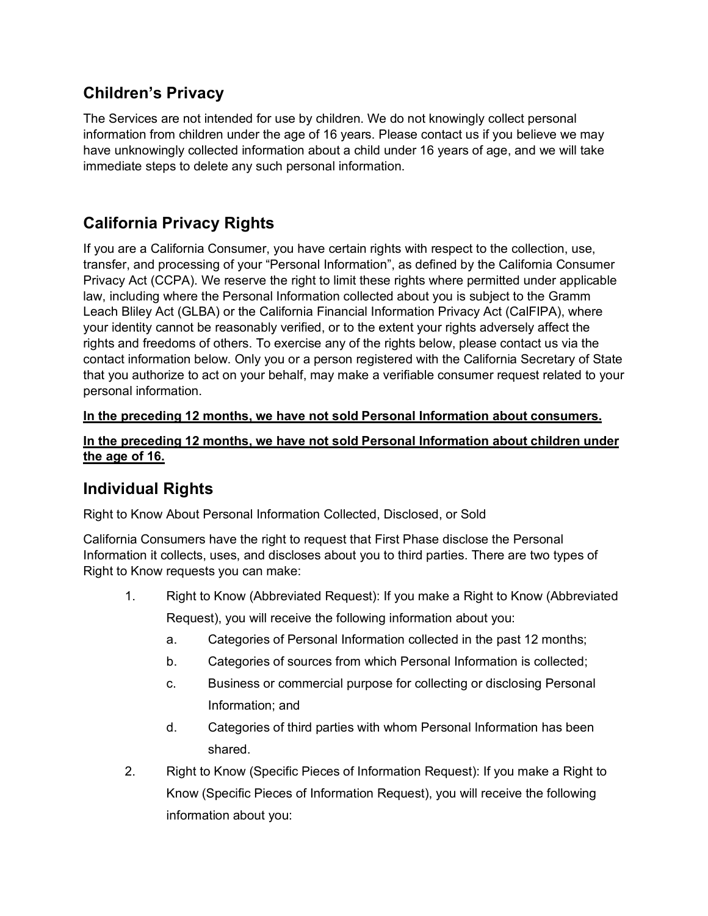# **Children's Privacy**

The Services are not intended for use by children. We do not knowingly collect personal information from children under the age of 16 years. Please contact us if you believe we may have unknowingly collected information about a child under 16 years of age, and we will take immediate steps to delete any such personal information.

# **California Privacy Rights**

If you are a California Consumer, you have certain rights with respect to the collection, use, transfer, and processing of your "Personal Information", as defined by the California Consumer Privacy Act (CCPA). We reserve the right to limit these rights where permitted under applicable law, including where the Personal Information collected about you is subject to the Gramm Leach Bliley Act (GLBA) or the California Financial Information Privacy Act (CalFIPA), where your identity cannot be reasonably verified, or to the extent your rights adversely affect the rights and freedoms of others. To exercise any of the rights below, please contact us via the contact information below. Only you or a person registered with the California Secretary of State that you authorize to act on your behalf, may make a verifiable consumer request related to your personal information.

### **In the preceding 12 months, we have not sold Personal Information about consumers.**

#### **In the preceding 12 months, we have not sold Personal Information about children under the age of 16.**

# **Individual Rights**

Right to Know About Personal Information Collected, Disclosed, or Sold

California Consumers have the right to request that First Phase disclose the Personal Information it collects, uses, and discloses about you to third parties. There are two types of Right to Know requests you can make:

- 1. Right to Know (Abbreviated Request): If you make a Right to Know (Abbreviated Request), you will receive the following information about you:
	- a. Categories of Personal Information collected in the past 12 months;
	- b. Categories of sources from which Personal Information is collected;
	- c. Business or commercial purpose for collecting or disclosing Personal Information; and
	- d. Categories of third parties with whom Personal Information has been shared.
- 2. Right to Know (Specific Pieces of Information Request): If you make a Right to Know (Specific Pieces of Information Request), you will receive the following information about you: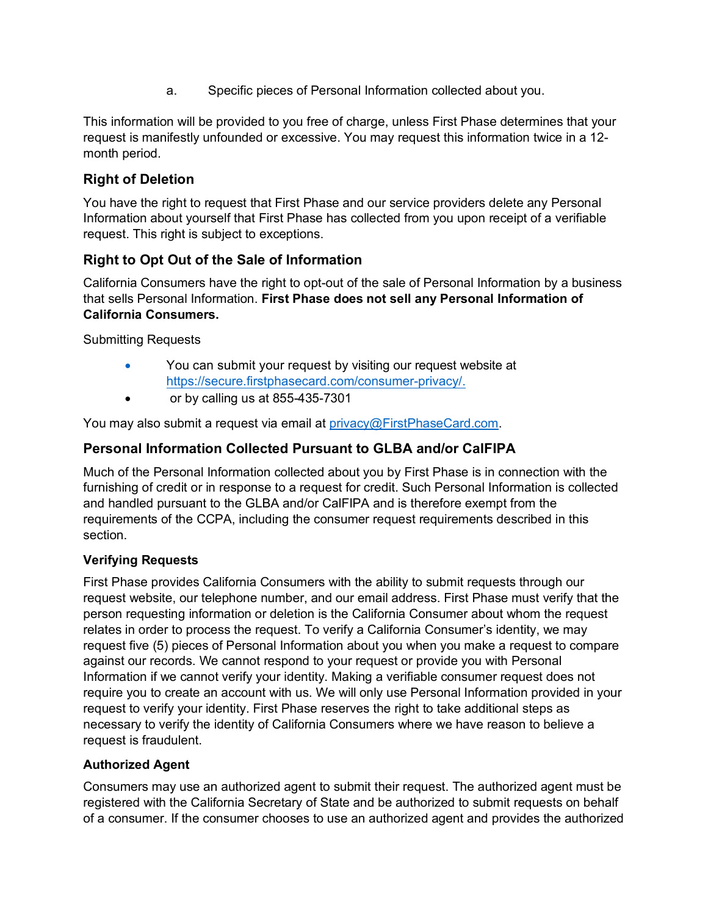a. Specific pieces of Personal Information collected about you.

This information will be provided to you free of charge, unless First Phase determines that your request is manifestly unfounded or excessive. You may request this information twice in a 12 month period.

### **Right of Deletion**

You have the right to request that First Phase and our service providers delete any Personal Information about yourself that First Phase has collected from you upon receipt of a verifiable request. This right is subject to exceptions.

### **Right to Opt Out of the Sale of Information**

California Consumers have the right to opt-out of the sale of Personal Information by a business that sells Personal Information. **First Phase does not sell any Personal Information of California Consumers.**

Submitting Requests

- You can submit your request by visiting our request website at [https://secure.firstphasecard.com/consumer-privacy](https://secure.firstphasecard.com/consumer-privacy/)/.
- or by calling us at 855-435-7301

You may also submit a request via email at [privacy@FirstPhaseCard.com.](mailto:privacy@FirstPhaseCard.com)

### **Personal Information Collected Pursuant to GLBA and/or CalFIPA**

Much of the Personal Information collected about you by First Phase is in connection with the furnishing of credit or in response to a request for credit. Such Personal Information is collected and handled pursuant to the GLBA and/or CalFIPA and is therefore exempt from the requirements of the CCPA, including the consumer request requirements described in this section.

#### **Verifying Requests**

First Phase provides California Consumers with the ability to submit requests through our request website, our telephone number, and our email address. First Phase must verify that the person requesting information or deletion is the California Consumer about whom the request relates in order to process the request. To verify a California Consumer's identity, we may request five (5) pieces of Personal Information about you when you make a request to compare against our records. We cannot respond to your request or provide you with Personal Information if we cannot verify your identity. Making a verifiable consumer request does not require you to create an account with us. We will only use Personal Information provided in your request to verify your identity. First Phase reserves the right to take additional steps as necessary to verify the identity of California Consumers where we have reason to believe a request is fraudulent.

#### **Authorized Agent**

Consumers may use an authorized agent to submit their request. The authorized agent must be registered with the California Secretary of State and be authorized to submit requests on behalf of a consumer. If the consumer chooses to use an authorized agent and provides the authorized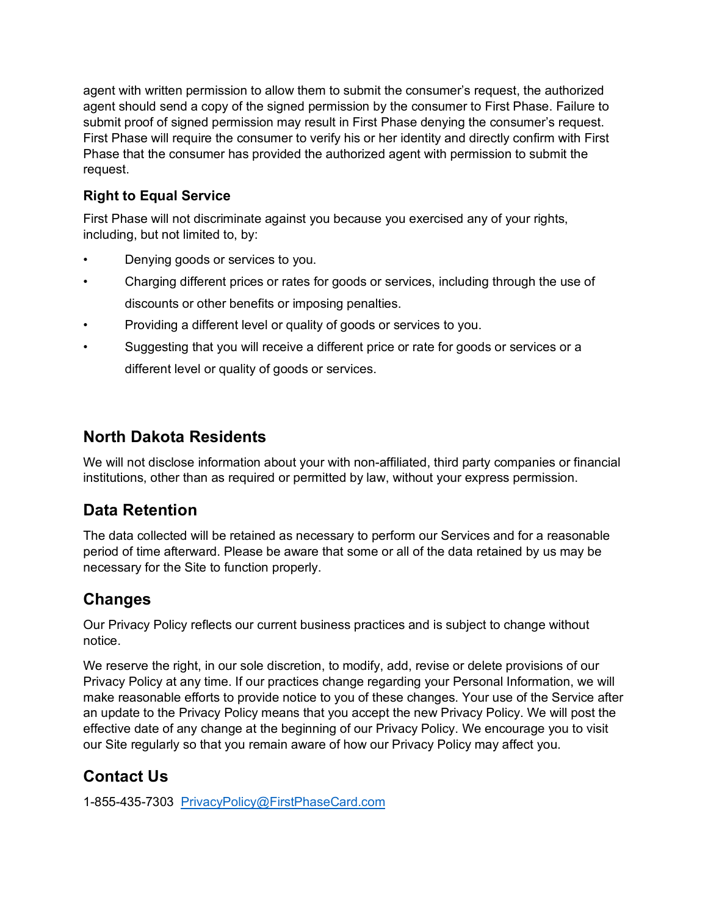agent with written permission to allow them to submit the consumer's request, the authorized agent should send a copy of the signed permission by the consumer to First Phase. Failure to submit proof of signed permission may result in First Phase denying the consumer's request. First Phase will require the consumer to verify his or her identity and directly confirm with First Phase that the consumer has provided the authorized agent with permission to submit the request.

### **Right to Equal Service**

First Phase will not discriminate against you because you exercised any of your rights, including, but not limited to, by:

- Denying goods or services to you.
- Charging different prices or rates for goods or services, including through the use of discounts or other benefits or imposing penalties.
- Providing a different level or quality of goods or services to you.
- Suggesting that you will receive a different price or rate for goods or services or a different level or quality of goods or services.

# **North Dakota Residents**

We will not disclose information about your with non-affiliated, third party companies or financial institutions, other than as required or permitted by law, without your express permission.

# **Data Retention**

The data collected will be retained as necessary to perform our Services and for a reasonable period of time afterward. Please be aware that some or all of the data retained by us may be necessary for the Site to function properly.

# **Changes**

Our Privacy Policy reflects our current business practices and is subject to change without notice.

We reserve the right, in our sole discretion, to modify, add, revise or delete provisions of our Privacy Policy at any time. If our practices change regarding your Personal Information, we will make reasonable efforts to provide notice to you of these changes. Your use of the Service after an update to the Privacy Policy means that you accept the new Privacy Policy. We will post the effective date of any change at the beginning of our Privacy Policy. We encourage you to visit our Site regularly so that you remain aware of how our Privacy Policy may affect you.

# **Contact Us**

1-855-435-7303 [PrivacyPolicy@FirstPhaseCard.com](mailto:PrivacyPolicy@FirstPhaseCard.com)